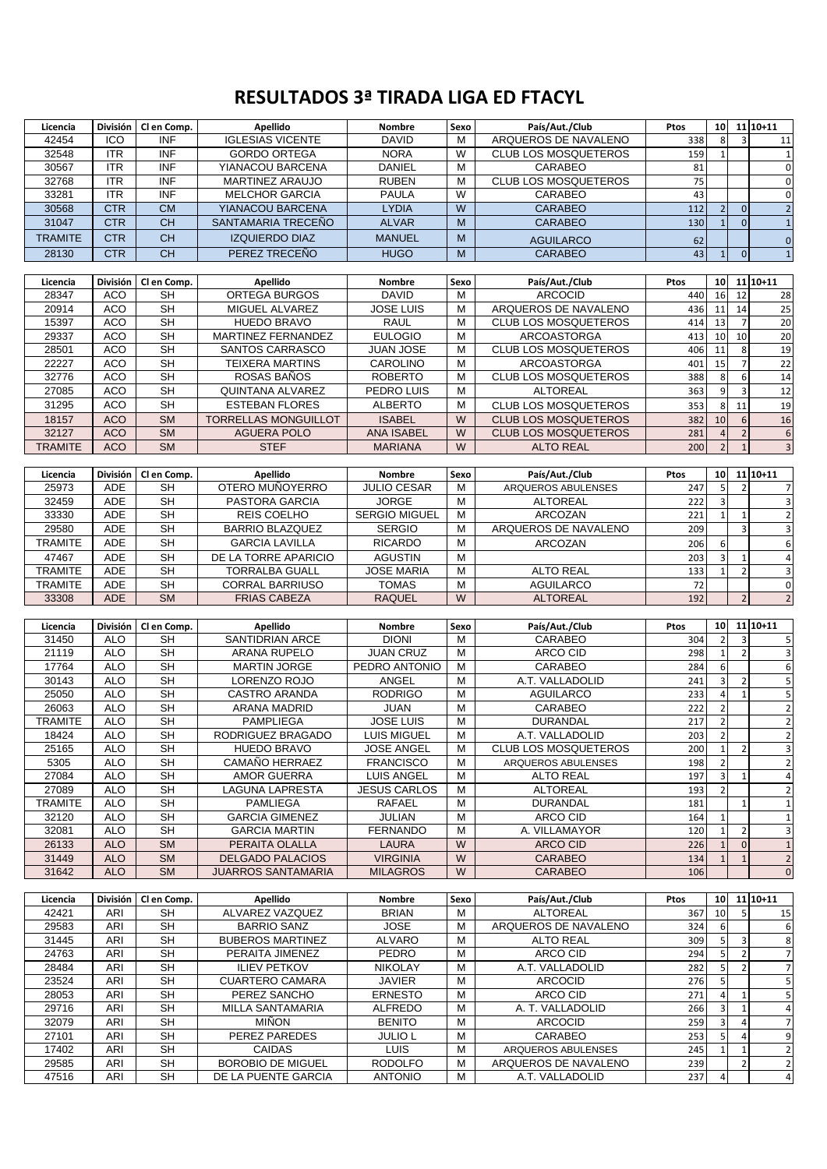## **RESULTADOS 3ª TIRADA LIGA ED FTACYL**

| Licencia       |                 | División   Cl en Comp.   | Apellido                                        | Nombre                           | Sexo   | País/Aut./Club                          | Ptos       | 10              |                  | $11 10+11$                                                                               |
|----------------|-----------------|--------------------------|-------------------------------------------------|----------------------------------|--------|-----------------------------------------|------------|-----------------|------------------|------------------------------------------------------------------------------------------|
| 42454          | ICO             | <b>INF</b>               | <b>IGLESIAS VICENTE</b>                         | <b>DAVID</b>                     | м      | ARQUEROS DE NAVALENO                    | 338        | 8               | $\overline{3}$   | 11                                                                                       |
| 32548          | <b>ITR</b>      | <b>INF</b>               | <b>GORDO ORTEGA</b>                             | <b>NORA</b>                      | W      | <b>CLUB LOS MOSQUETEROS</b>             | 159        | $\mathbf{1}$    |                  | $\mathbf{1}$                                                                             |
| 30567          | <b>ITR</b>      | <b>INF</b>               | YIANACOU BARCENA                                | <b>DANIEL</b>                    | M      | CARABEO                                 | 81         |                 |                  | $\mathbf 0$                                                                              |
| 32768          | <b>ITR</b>      | <b>INF</b>               | MARTINEZ ARAUJO                                 | <b>RUBEN</b>                     | M      | CLUB LOS MOSQUETEROS                    | 75         |                 |                  | $\mathbf 0$                                                                              |
| 33281          | <b>ITR</b>      | <b>INF</b>               | <b>MELCHOR GARCIA</b>                           | <b>PAULA</b>                     | W      | CARABEO                                 | 43         |                 |                  | $\mathbf 0$                                                                              |
| 30568          | <b>CTR</b>      | <b>CM</b>                | YIANACOU BARCENA                                | <b>LYDIA</b>                     | W      | <b>CARABEO</b>                          | 112        | $\overline{2}$  | $\boldsymbol{0}$ | $\overline{\mathbf{c}}$                                                                  |
| 31047          | <b>CTR</b>      | <b>CH</b>                | SANTAMARIA TRECEÑO                              | <b>ALVAR</b>                     | M      | <b>CARABEO</b>                          | 130        | $\mathbf{1}$    | $\overline{0}$   | $\mathbf 1$                                                                              |
| <b>TRAMITE</b> | <b>CTR</b>      | <b>CH</b>                | <b>IZQUIERDO DIAZ</b>                           | <b>MANUEL</b>                    | M      | <b>AGUILARCO</b>                        | 62         |                 |                  | $\mathbf 0$                                                                              |
| 28130          | <b>CTR</b>      | <b>CH</b>                | PEREZ TRECEÑO                                   | <b>HUGO</b>                      | M      | <b>CARABEO</b>                          | 43         | $\mathbf{1}$    | $\overline{0}$   | $\mathbf{1}$                                                                             |
|                |                 |                          |                                                 |                                  |        |                                         |            |                 |                  |                                                                                          |
| Licencia       | División        | Cl en Comp.              | Apellido                                        | Nombre                           | Sexo   | País/Aut./Club                          | Ptos       | 10              |                  | $11 10+11$                                                                               |
| 28347          | <b>ACO</b>      | <b>SH</b>                | ORTEGA BURGOS                                   | <b>DAVID</b>                     | м      | <b>ARCOCID</b>                          | 440        | 16              | 12               | 28                                                                                       |
| 20914          | <b>ACO</b>      | $\overline{\mathsf{SH}}$ | MIGUEL ALVAREZ                                  | <b>JOSE LUIS</b>                 | M      | ARQUEROS DE NAVALENO                    | 436        | 11              | 14               | 25                                                                                       |
| 15397          | ACO             | <b>SH</b>                | <b>HUEDO BRAVO</b>                              | <b>RAUL</b>                      | M      | <b>CLUB LOS MOSQUETEROS</b>             | 414        | 13              | $\overline{7}$   | 20                                                                                       |
| 29337          | <b>ACO</b>      | <b>SH</b>                | MARTINEZ FERNANDEZ                              | <b>EULOGIO</b>                   | м      | <b>ARCOASTORGA</b>                      | 413        | 10              | 10               | 20                                                                                       |
| 28501          | <b>ACO</b>      | <b>SH</b>                | SANTOS CARRASCO                                 | <b>JUAN JOSE</b>                 | M      | <b>CLUB LOS MOSQUETEROS</b>             | 406        | 11              | 8                | 19                                                                                       |
| 22227          | <b>ACO</b>      | <b>SH</b>                | <b>TEIXERA MARTINS</b>                          | CAROLINO                         | M      | <b>ARCOASTORGA</b>                      | 401        | 15              | $\overline{7}$   | 22                                                                                       |
| 32776          | <b>ACO</b>      | <b>SH</b>                | ROSAS BAÑOS                                     | <b>ROBERTO</b>                   | М      | <b>CLUB LOS MOSQUETEROS</b>             | 388        | 8               | 6                | 14                                                                                       |
| 27085          | <b>ACO</b>      | $\overline{\mathsf{SH}}$ | <b>QUINTANA ALVAREZ</b>                         | PEDRO LUIS                       | М      | <b>ALTOREAL</b>                         | 363        | 9               | 3                | $\overline{12}$                                                                          |
| 31295          | <b>ACO</b>      | <b>SH</b>                | <b>ESTEBAN FLORES</b>                           | <b>ALBERTO</b>                   | М      | <b>CLUB LOS MOSQUETEROS</b>             | 353        | 8               | 11               | 19                                                                                       |
| 18157          | <b>ACO</b>      | <b>SM</b>                | <b>TORRELLAS MONGUILLOT</b>                     | <b>ISABEL</b>                    | W      | <b>CLUB LOS MOSQUETEROS</b>             | 382        | 10              | 6                | 16                                                                                       |
| 32127          | <b>ACO</b>      | <b>SM</b>                | <b>AGUERA POLO</b>                              | <b>ANA ISABEL</b>                | W      | <b>CLUB LOS MOSQUETEROS</b>             | 281        | $\overline{4}$  | $\overline{2}$   | $\sqrt{6}$                                                                               |
| <b>TRAMITE</b> | <b>ACO</b>      | <b>SM</b>                | <b>STEF</b>                                     | <b>MARIANA</b>                   | W      | <b>ALTO REAL</b>                        | 200        | $\overline{2}$  | $\mathbf{1}$     | $\overline{3}$                                                                           |
|                |                 |                          |                                                 |                                  |        |                                         |            |                 |                  |                                                                                          |
| Licencia       | División        | Cl en Comp.              | Apellido                                        | <b>Nombre</b>                    | Sexo   | País/Aut./Club                          | Ptos       | 10              |                  | $11 10+11$                                                                               |
| 25973          | ADE             | <b>SH</b>                | OTERO MUÑOYERRO                                 | <b>JULIO CESAR</b>               | М      | ARQUEROS ABULENSES                      | 247        | 5               | $\overline{2}$   | $\overline{7}$                                                                           |
| 32459          | ADE             | <b>SH</b>                | PASTORA GARCIA                                  | <b>JORGE</b>                     | M      | <b>ALTOREAL</b>                         | 222        | $\overline{3}$  |                  | $\overline{\mathbf{3}}$                                                                  |
| 33330          | ADE             | <b>SH</b>                | <b>REIS COELHO</b>                              | <b>SERGIO MIGUEL</b>             | м      | ARCOZAN                                 | 221        | $\mathbf{1}$    |                  | $\overline{2}$                                                                           |
| 29580          | ADE             | <b>SH</b>                | <b>BARRIO BLAZQUEZ</b>                          | <b>SERGIO</b>                    | М      | ARQUEROS DE NAVALENO                    |            |                 | $\mathbf{1}$     |                                                                                          |
|                | ADE             | <b>SH</b>                | <b>GARCIA LAVILLA</b>                           |                                  | M      |                                         | 209        |                 | 3                | $\ensuremath{\mathsf{3}}$                                                                |
| <b>TRAMITE</b> |                 |                          |                                                 | <b>RICARDO</b>                   |        | <b>ARCOZAN</b>                          | 206        | 6               |                  | $\boldsymbol{6}$                                                                         |
| 47467          | ADE             | $\overline{\mathsf{SH}}$ | DE LA TORRE APARICIO                            | <b>AGUSTIN</b>                   | M      |                                         | 203        | $\overline{3}$  | $\mathbf{1}$     | $\overline{4}$                                                                           |
| <b>TRAMITE</b> | ADE             | <b>SH</b>                | <b>TORRALBA GUALL</b>                           | <b>JOSE MARIA</b>                | M      | <b>ALTO REAL</b>                        | 133        | $1\overline{ }$ | $\overline{2}$   | $\overline{\mathbf{3}}$                                                                  |
| <b>TRAMITE</b> | ADE             | <b>SH</b>                | <b>CORRAL BARRIUSO</b>                          | <b>TOMAS</b>                     | M      | <b>AGUILARCO</b>                        | 72         |                 |                  | $\mathbf 0$                                                                              |
|                |                 |                          |                                                 |                                  |        |                                         |            |                 |                  |                                                                                          |
| 33308          | <b>ADE</b>      | <b>SM</b>                | <b>FRIAS CABEZA</b>                             | <b>RAQUEL</b>                    | W      | <b>ALTOREAL</b>                         | 192        |                 | $\overline{2}$   | $\overline{2}$                                                                           |
|                |                 |                          |                                                 |                                  |        |                                         |            |                 |                  |                                                                                          |
| Licencia       | <b>División</b> | Cl en Comp.              | Apellido                                        | <b>Nombre</b>                    | Sexo   | País/Aut./Club                          | Ptos       | 10              |                  | $11 10+11$                                                                               |
| 31450          | <b>ALO</b>      | SН                       | <b>SANTIDRIAN ARCE</b>                          | <b>DIONI</b>                     | М      | CARABEO                                 | 304        | $\overline{2}$  | 3                |                                                                                          |
| 21119          | <b>ALO</b>      | $\overline{\mathsf{SH}}$ | ARANA RUPELO                                    | <b>JUAN CRUZ</b>                 | М      | ARCO CID                                | 298        | $\mathbf{1}$    | $\overline{2}$   |                                                                                          |
| 17764          | <b>ALO</b>      | $\overline{\mathsf{SH}}$ | <b>MARTIN JORGE</b>                             | PEDRO ANTONIO                    | M      | CARABEO                                 | 284        | 6               |                  |                                                                                          |
| 30143          | <b>ALO</b>      | <b>SH</b>                | LORENZO ROJO                                    | ANGEL                            | М      | A.T. VALLADOLID                         | 241        | 3               | $\overline{2}$   |                                                                                          |
| 25050          | <b>ALO</b>      | $\overline{\mathsf{SH}}$ | CASTRO ARANDA                                   | <b>RODRIGO</b>                   | M      | <b>AGUILARCO</b>                        | 233        | $\overline{a}$  | $\mathbf{1}$     | 5<br>$\overline{\mathbf{3}}$<br>$\boldsymbol{6}$<br>$\sf 5$<br>$\overline{\mathbf{5}}$   |
| 26063          | <b>ALO</b>      | <b>SH</b>                | ARANA MADRID                                    | <b>JUAN</b>                      | M      | CARABEO                                 | 222        | $\overline{2}$  |                  |                                                                                          |
| TRAMITE        | <b>ALO</b>      | <b>SH</b>                | <b>PAMPLIEGA</b>                                | <b>JOSE LUIS</b>                 | M      | <b>DURANDAL</b>                         | 217        | $\overline{2}$  |                  |                                                                                          |
| 18424          | <b>ALO</b>      | <b>SH</b>                | RODRIGUEZ BRAGADO                               | LUIS MIGUEL                      | M      | A.T. VALLADOLID                         | 203        | $\overline{2}$  |                  | $\mathbf 2$<br>$\overline{\mathbf{c}}$<br>$\mathbf 2$                                    |
| 25165          | ALO             | SH                       | <b>HUEDO BRAVO</b>                              | <b>JOSE ANGEL</b>                | м      | <b>CLUB LOS MOSQUETEROS</b>             | 200        | $\mathbf{1}$    | $\overline{2}$   | $\overline{\mathbf{3}}$                                                                  |
| 5305           | <b>ALO</b>      | <b>SH</b>                | CAMAÑO HERRAEZ                                  | <b>FRANCISCO</b>                 | М      | ARQUEROS ABULENSES                      | 198        | $\overline{2}$  |                  |                                                                                          |
| 27084          | <b>ALO</b>      | <b>SH</b>                | <b>AMOR GUERRA</b>                              | <b>LUIS ANGEL</b>                | м      | <b>ALTO REAL</b>                        | 197        | $\overline{3}$  | $\mathbf{1}$     | $\overline{2}$<br>$\overline{a}$                                                         |
| 27089          | <b>ALO</b>      | <b>SH</b>                | LAGUNA LAPRESTA                                 | <b>JESUS CARLOS</b>              | М      | <b>ALTOREAL</b>                         | 193        | $\overline{2}$  |                  |                                                                                          |
| <b>TRAMITE</b> | <b>ALO</b>      | <b>SH</b>                | <b>PAMLIEGA</b>                                 | <b>RAFAEL</b>                    | М      | <b>DURANDAL</b>                         | 181        |                 | $\mathbf{1}$     |                                                                                          |
| 32120          | <b>ALO</b>      | <b>SH</b>                | <b>GARCIA GIMENEZ</b>                           | JULIAN                           | M      | ARCO CID                                | 164        | $\mathbf{1}$    |                  |                                                                                          |
| 32081          | <b>ALO</b>      | <b>SH</b>                | <b>GARCIA MARTIN</b>                            | <b>FERNANDO</b>                  | М      | A. VILLAMAYOR                           | 120        | $\mathbf{1}$    | 2                |                                                                                          |
| 26133          | <b>ALO</b>      | <b>SM</b>                | PERAITA OLALLA                                  | LAURA                            | W      | ARCO CID                                | 226        | 1               | $\overline{0}$   | $\overline{2}$<br>$\mathbf 1$<br>$\mathbf{1}$<br>$\overline{\mathbf{3}}$<br>$\mathbf{1}$ |
| 31449          | <b>ALO</b>      | <b>SM</b>                | <b>DELGADO PALACIOS</b>                         | <b>VIRGINIA</b>                  | W      | <b>CARABEO</b>                          | 134        | $1\overline{ }$ | $\mathbf{1}$     |                                                                                          |
| 31642          | <b>ALO</b>      | <b>SM</b>                | <b>JUARROS SANTAMARIA</b>                       | <b>MILAGROS</b>                  | W      | CARABEO                                 | 106        |                 |                  |                                                                                          |
|                |                 |                          |                                                 |                                  |        |                                         |            |                 |                  | $\overline{2}$<br>$\mathbf 0$                                                            |
| Licencia       | División        | Cl en Comp.              | Apellido                                        | Nombre                           | Sexo   | País/Aut./Club                          | Ptos       | 10 <sup>1</sup> |                  | $11 10+11$                                                                               |
| 42421          | ARI             | SH                       | ALVAREZ VAZQUEZ                                 | <b>BRIAN</b>                     | м      | ALTOREAL                                | 367        | 10              | 5                | 15                                                                                       |
| 29583          | ARI             | <b>SH</b>                | <b>BARRIO SANZ</b>                              | <b>JOSE</b>                      | М      | ARQUEROS DE NAVALENO                    | 324        | 6               |                  |                                                                                          |
| 31445          | ARI             | <b>SH</b>                | <b>BUBEROS MARTINEZ</b>                         | <b>ALVARO</b>                    | M      | <b>ALTO REAL</b>                        | 309        | $5\phantom{.0}$ | 3                | 6<br>8                                                                                   |
| 24763          | ARI             | SН                       | PERAITA JIMENEZ                                 | PEDRO                            | М      | ARCO CID                                | 294        | 5 <sub>l</sub>  | 2                |                                                                                          |
| 28484          | ARI             | <b>SH</b>                | <b>ILIEV PETKOV</b>                             | <b>NIKOLAY</b>                   | M      | A.T. VALLADOLID                         | 282        | 5               | $\overline{2}$   |                                                                                          |
| 23524          | ARI             | <b>SH</b>                | <b>CUARTERO CAMARA</b>                          | <b>JAVIER</b>                    | М      | <b>ARCOCID</b>                          | 276        | 5               |                  |                                                                                          |
| 28053          | ARI             | <b>SH</b>                | PEREZ SANCHO                                    | <b>ERNESTO</b>                   | М      | ARCO CID                                | 271        | $\overline{a}$  | 1                | $7\overline{ }$<br>$\overline{7}$<br>5<br>$\sf 5$                                        |
| 29716          | ARI             | <b>SH</b>                | MILLA SANTAMARIA                                | <b>ALFREDO</b>                   | М      | A. T. VALLADOLID                        | 266        | $\overline{3}$  | $\mathbf{1}$     | $\overline{a}$                                                                           |
| 32079          | ARI             | SН                       | <b>MIÑON</b>                                    | <b>BENITO</b>                    | М      | <b>ARCOCID</b>                          | 259        | $\overline{3}$  | $\overline{a}$   | $\overline{7}$                                                                           |
| 27101          | ARI             | <b>SH</b>                | PEREZ PAREDES                                   | <b>JULIO L</b>                   | м      | CARABEO                                 | 253        | $5\overline{5}$ | 4                |                                                                                          |
| 17402          | ARI             | <b>SH</b>                | <b>CAIDAS</b>                                   | <b>LUIS</b>                      | М      | ARQUEROS ABULENSES                      | 245        | $\mathbf{1}$    | 1                |                                                                                          |
| 29585<br>47516 | ARI<br>ARI      | SН<br><b>SH</b>          | <b>BOROBIO DE MIGUEL</b><br>DE LA PUENTE GARCIA | <b>RODOLFO</b><br><b>ANTONIO</b> | М<br>М | ARQUEROS DE NAVALENO<br>A.T. VALLADOLID | 239<br>237 |                 | $\overline{2}$   | $9\,$<br>$\overline{2}$<br>$\overline{2}$<br>$\overline{a}$                              |